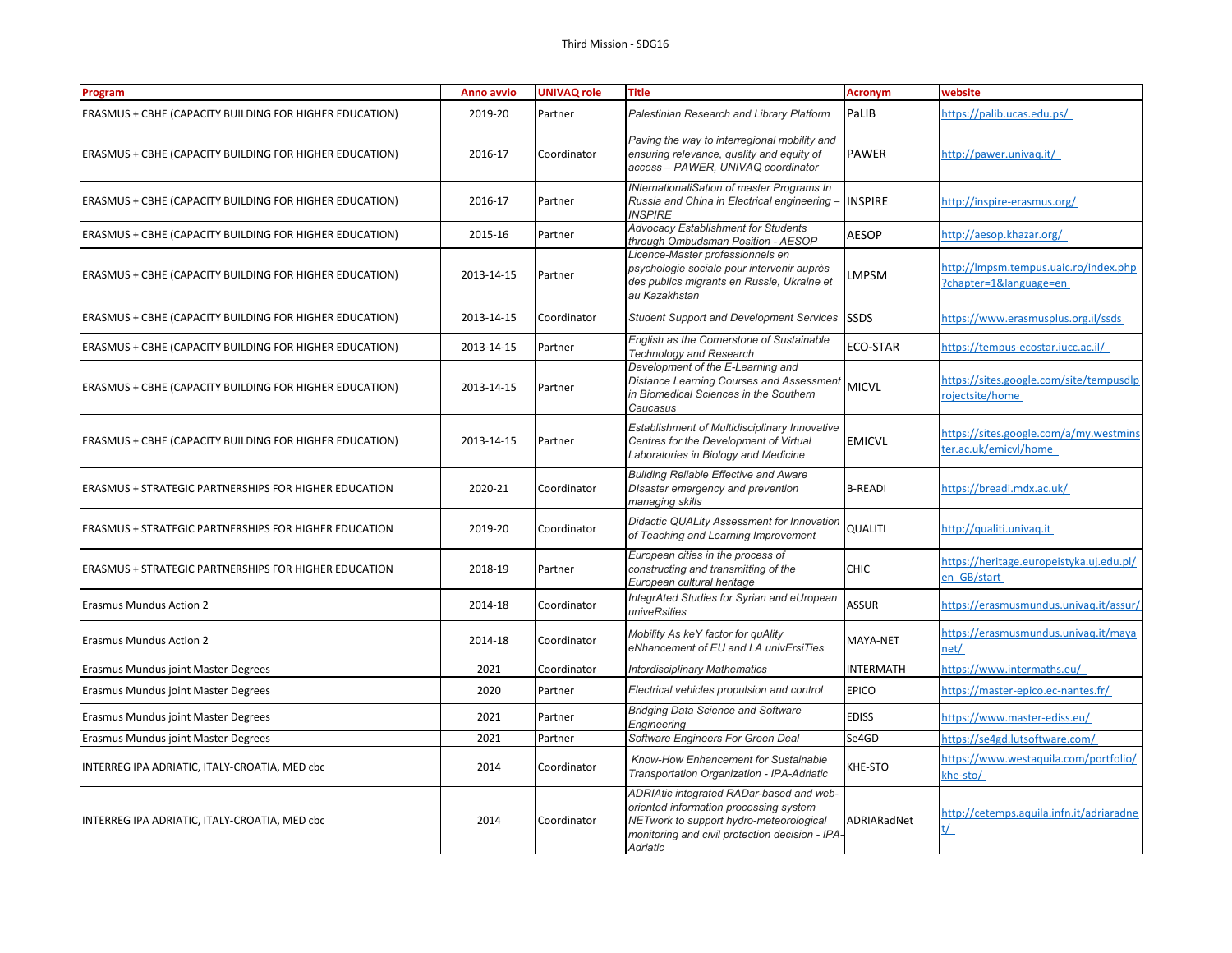| Program                                                        | Anno avvio | <b>UNIVAQ role</b> | <b>Title</b>                                                                                                                                                                                 | <b>Acronym</b>   | website                                                         |
|----------------------------------------------------------------|------------|--------------------|----------------------------------------------------------------------------------------------------------------------------------------------------------------------------------------------|------------------|-----------------------------------------------------------------|
| <b>ERASMUS + CBHE (CAPACITY BUILDING FOR HIGHER EDUCATION)</b> | 2019-20    | Partner            | Palestinian Research and Library Platform                                                                                                                                                    | PaLIB            | https://palib.ucas.edu.ps/                                      |
| <b>ERASMUS + CBHE (CAPACITY BUILDING FOR HIGHER EDUCATION)</b> | 2016-17    | Coordinator        | Paving the way to interregional mobility and<br>ensuring relevance, quality and equity of<br>access - PAWER, UNIVAQ coordinator                                                              | <b>PAWER</b>     | http://pawer.univag.it/                                         |
| <b>ERASMUS + CBHE (CAPACITY BUILDING FOR HIGHER EDUCATION)</b> | 2016-17    | Partner            | <b>INternationaliSation of master Programs In</b><br>Russia and China in Electrical engineering -<br><b>INSPIRE</b>                                                                          | <b>INSPIRE</b>   | http://inspire-erasmus.org/                                     |
| ERASMUS + CBHE (CAPACITY BUILDING FOR HIGHER EDUCATION)        | 2015-16    | Partner            | Advocacy Establishment for Students<br>through Ombudsman Position - AESOP                                                                                                                    | <b>AESOP</b>     | http://aesop.khazar.org/                                        |
| <b>ERASMUS + CBHE (CAPACITY BUILDING FOR HIGHER EDUCATION)</b> | 2013-14-15 | Partner            | Licence-Master professionnels en<br>psychologie sociale pour intervenir auprès<br>des publics migrants en Russie, Ukraine et<br>au Kazakhstan                                                | LMPSM            | http://Impsm.tempus.uaic.ro/index.php<br>?chapter=1&language=en |
| ERASMUS + CBHE (CAPACITY BUILDING FOR HIGHER EDUCATION)        | 2013-14-15 | Coordinator        | <b>Student Support and Development Services</b>                                                                                                                                              | <b>SSDS</b>      | https://www.erasmusplus.org.il/ssds                             |
| ERASMUS + CBHE (CAPACITY BUILDING FOR HIGHER EDUCATION)        | 2013-14-15 | Partner            | English as the Cornerstone of Sustainable<br><b>Technology and Research</b>                                                                                                                  | <b>ECO-STAR</b>  | https://tempus-ecostar.iucc.ac.il/                              |
| <b>ERASMUS + CBHE (CAPACITY BUILDING FOR HIGHER EDUCATION)</b> | 2013-14-15 | Partner            | Development of the E-Learning and<br><b>Distance Learning Courses and Assessment</b><br>in Biomedical Sciences in the Southern<br>Caucasus                                                   | <b>MICVL</b>     | https://sites.google.com/site/tempusdlp<br>rojectsite/home      |
| ERASMUS + CBHE (CAPACITY BUILDING FOR HIGHER EDUCATION)        | 2013-14-15 | Partner            | Establishment of Multidisciplinary Innovative<br>Centres for the Development of Virtual<br>Laboratories in Biology and Medicine                                                              | <b>EMICVL</b>    | https://sites.google.com/a/my.westmins<br>ter.ac.uk/emicvl/home |
| ERASMUS + STRATEGIC PARTNERSHIPS FOR HIGHER EDUCATION          | 2020-21    | Coordinator        | <b>Building Reliable Effective and Aware</b><br>DIsaster emergency and prevention<br>managing skills                                                                                         | <b>B-READI</b>   | https://breadi.mdx.ac.uk/                                       |
| ERASMUS + STRATEGIC PARTNERSHIPS FOR HIGHER EDUCATION          | 2019-20    | Coordinator        | Didactic QUALity Assessment for Innovation<br>of Teaching and Learning Improvement                                                                                                           | <b>QUALITI</b>   | http://qualiti.univag.it                                        |
| ERASMUS + STRATEGIC PARTNERSHIPS FOR HIGHER EDUCATION          | 2018-19    | Partner            | European cities in the process of<br>constructing and transmitting of the<br>European cultural heritage                                                                                      | <b>CHIC</b>      | https://heritage.europeistyka.uj.edu.pl/<br>en GB/start         |
| <b>Erasmus Mundus Action 2</b>                                 | 2014-18    | Coordinator        | IntegrAted Studies for Syrian and eUropean<br>univeRsities                                                                                                                                   | <b>ASSUR</b>     | https://erasmusmundus.univag.it/assur/                          |
| <b>Erasmus Mundus Action 2</b>                                 | 2014-18    | Coordinator        | Mobility As keY factor for quAlity<br>eNhancement of EU and LA univErsiTies                                                                                                                  | MAYA-NET         | https://erasmusmundus.univag.it/maya<br>net/                    |
| Erasmus Mundus joint Master Degrees                            | 2021       | Coordinator        | <b>Interdisciplinary Mathematics</b>                                                                                                                                                         | <b>INTERMATH</b> | https://www.intermaths.eu/                                      |
| Erasmus Mundus joint Master Degrees                            | 2020       | Partner            | Electrical vehicles propulsion and control                                                                                                                                                   | <b>EPICO</b>     | https://master-epico.ec-nantes.fr/                              |
| Erasmus Mundus joint Master Degrees                            | 2021       | Partner            | <b>Bridging Data Science and Software</b><br>Engineering                                                                                                                                     | <b>EDISS</b>     | https://www.master-ediss.eu/                                    |
| Erasmus Mundus joint Master Degrees                            | 2021       | Partner            | Software Engineers For Green Deal                                                                                                                                                            | Se4GD            | https://se4gd.lutsoftware.com/                                  |
| INTERREG IPA ADRIATIC, ITALY-CROATIA, MED cbc                  | 2014       | Coordinator        | Know-How Enhancement for Sustainable<br>Transportation Organization - IPA-Adriatic                                                                                                           | KHE-STO          | https://www.westaquila.com/portfolio/<br>he-sto/                |
| INTERREG IPA ADRIATIC, ITALY-CROATIA, MED cbc                  | 2014       | Coordinator        | ADRIAtic integrated RADar-based and web-<br>oriented information processing system<br>NETwork to support hydro-meteorological<br>monitoring and civil protection decision - IPA-<br>Adriatic | ADRIARadNet      | http://cetemps.aquila.infn.it/adriaradne<br>t/                  |